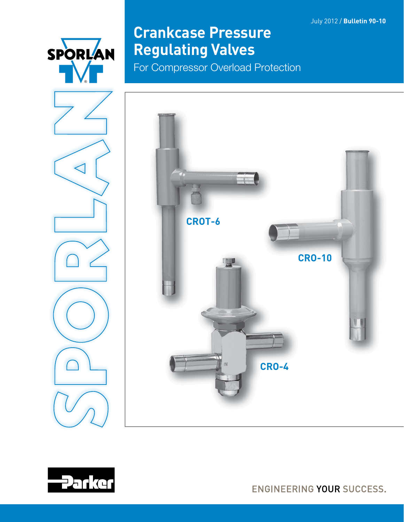July 2012 / **Bulletin 90-10**



# **Crankcase Pressure Regulating Valves**

For Compressor Overload Protection







ENGINEERING YOUR SUCCESS.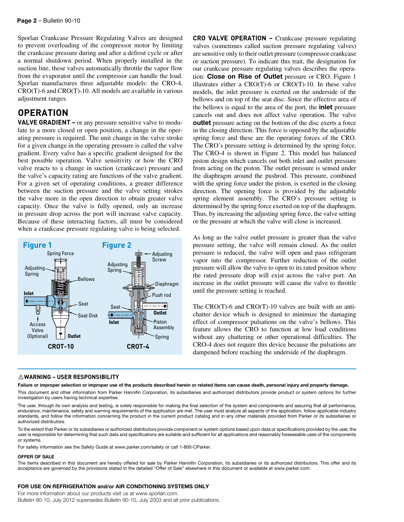Sporlan Crankcase Pressure Regulating Valves are designed to prevent overloading of the compressor motor by limiting the crankcase pressure during and after a defrost cycle or after a normal shutdown period. When properly installed in the suction line, these valves automatically throttle the vapor flow from the evaporator until the compressor can handle the load. Sporlan manufactures three adjustable models: the CRO-4, CRO(T)-6 and CRO(T)-10. All models are available in various adjustment ranges.

### **OPERATION**

**VALVE GRADIENT –** or any pressure sensitive valve to modulate to a more closed or open position, a change in the operating pressure is required. The unit change in the valve stroke for a given change in the operating pressure is called the valve gradient. Every valve has a specific gradient designed for the best possible operation. Valve sensitivity or how the CRO valve reacts to a change in suction (crankcase) pressure and the valve's capacity rating are functions of the valve gradient. For a given set of operating conditions, a greater difference between the suction pressure and the valve setting strokes the valve more in the open direction to obtain greater valve capacity. Once the valve is fully opened, only an increase in pressure drop across the port will increase valve capacity. Because of these interacting factors, all must be considered when a crankcase pressure regulating valve is being selected.



#### ⚠**WARNING – USER RESPONSIBILITY**

valves (sometimes called suction pressure regulating valves) are sensitive only to their outlet pressure (compressor crankcase or suction pressure). To indicate this trait, the designation for our crankcase pressure regulating valves describes the operation: Close on Rise of Outlet pressure or CRO. Figure 1 illustrates either a CRO(T)-6 or CRO(T)-10. In these valve models, the inlet pressure is exerted on the underside of the bellows and on top of the seat disc. Since the effective area of the bellows is equal to the area of the port, the inlet pressure cancels out and does not affect valve operation. The valve outlet pressure acting on the bottom of the disc exerts a force in the closing direction. This force is opposed by the adjustable spring force and these are the operating forces of the CRO. The CRO's pressure setting is determined by the spring force. The CRO-4 is shown in Figure 2. This model has balanced piston design which cancels out both inlet and outlet pressure from acting on the piston. The outlet pressure is sensed under the diaphragm around the pushrod. This pressure, combined with the spring force under the piston, is exerted in the closing direction. The opening force is provided by the adjustable spring element assembly. The CRO's pressure setting is determined by the spring force exerted on top of the diaphragm. Thus, by increasing the adjusting spring force, the valve setting or the pressure at which the valve will close is increased.

**CRO VALVE OPERATION –** Crankcase pressure regulating

As long as the valve outlet pressure is greater than the valve pressure setting, the valve will remain closed. As the outlet pressure is reduced, the valve will open and pass refrigerant vapor into the compressor. Further reduction of the outlet pressure will allow the valve to open to its rated position where the rated pressure drop will exist across the valve port. An increase in the outlet pressure will cause the valve to throttle until the pressure setting is reached.

The CRO(T)-6 and CRO(T)-10 valves are built with an antichatter device which is designed to minimize the damaging effect of compressor pulsations on the valve's bellows. This feature allows the CRO to function at low load conditions without any chattering or other operational difficulties. The CRO-4 does not require this device because the pulsations are dampened before reaching the underside of the diaphragm.

Failure or improper selection or improper use of the products described herein or related items can cause death, personal injury and property damage. This document and other information from Parker Hannifin Corporation, its subsidiaries and authorized distributors provide product or system options for further investigation by users having technical expertise.

The user, through its own analysis and testing, is solely responsible for making the final selection of the system and components and assuring that all performance, endurance, maintenance, safety and warning requirements of the application are met. The user must analyze all aspects of the application, follow applicable industry standards, and follow the information concerning the product in the current product catalog and in any other materials provided from Parker or its subsidiaries or authorized distributors.

To the extent that Parker or its subsidiaries or authorized distributors provide component or system options based upon data or specifications provided by the user, the user is responsible for determining that such data and specifications are suitable and sufficient for all applications and reasonably foreseeable uses of the components or systems.

For safety information see the Safety Guide at www.parker.com/safety or call 1-800-CParker.

#### OFFER OF SALE

The items described in this document are hereby offered for sale by Parker Hannifin Corporation, its subsidiaries or its authorized distributors. This offer and its acceptance are governed by the provisions stated in the detailed "Offer of Sale" elsewhere in this document or available at www.parker.com.

#### FOR USE ON REFRIGERATION and/or AIR CONDITIONING SYSTEMS ONLY

For more information about our products visit us at www.sporlan.com. Bulletin 90-10, July 2012 supersedes Bulletin 90-10, July 2003 and all prior publications.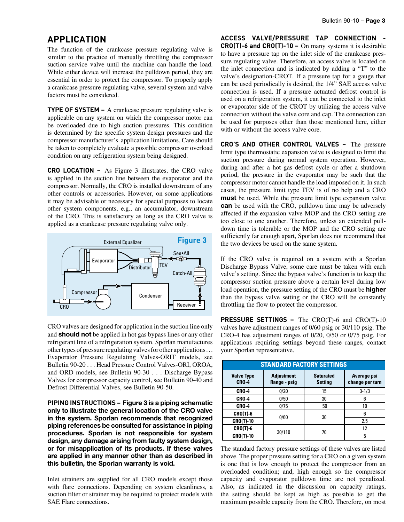### **APPLICATION**

The function of the crankcase pressure regulating valve is similar to the practice of manually throttling the compressor suction service valve until the machine can handle the load. While either device will increase the pulldown period, they are essential in order to protect the compressor. To properly apply a crankcase pressure regulating valve, several system and valve factors must be considered.

**TYPE OF SYSTEM –** A crankcase pressure regulating valve is applicable on any system on which the compressor motor can be overloaded due to high suction pressures. This condition is determined by the specific system design pressures and the compressor manufacturer's application limitations. Care should be taken to completely evaluate a possible compressor overload condition on any refrigeration system being designed.

**CRO LOCATION –** As Figure 3 illustrates, the CRO valve is applied in the suction line between the evaporator and the compressor. Normally, the CRO is installed downstream of any other controls or accessories. However, on some applications it may be advisable or necessary for special purposes to locate other system components, e.g., an accumulator, downstream of the CRO. This is satisfactory as long as the CRO valve is applied as a crankcase pressure regulating valve only.



CRO valves are designed for application in the suction line only and should not be applied in hot gas bypass lines or any other refrigerant line of a refrigeration system. Sporlan manufactures other types of pressure regulating valves for other applications . . . Evaporator Pressure Regulating Valves-ORIT models, see Bulletin 90-20 . . . Head Pressure Control Valves-ORI, OROA, and ORD models, see Bulletin 90-30 . . . Discharge Bypass Valves for compressor capacity control, see Bulletin 90-40 and Defrost Differential Valves, see Bulletin 90-50.

**PIPING INSTRUCTIONS –** Figure 3 is a piping schematic only to illustrate the general location of the CRO valve in the system. Sporlan recommends that recognized piping references be consulted for assistance in piping procedures. Sporlan is not responsible for system design, any damage arising from faulty system design, or for misapplication of its products. If these valves are applied in any manner other than as described in this bulletin, the Sporlan warranty is void.

Inlet strainers are supplied for all CRO models except those with flare connections. Depending on system cleanliness, a suction filter or strainer may be required to protect models with SAE Flare connections.

**ACCESS VALVE/PRESSURE TAP CONNECTION - CRO(T)-6 and CRO(T)-10 –** On many systems it is desirable to have a pressure tap on the inlet side of the crankcase pressure regulating valve. Therefore, an access valve is located on the inlet connection and is indicated by adding a "T" to the valve's designation-CROT. If a pressure tap for a gauge that can be used periodically is desired, the 1/4" SAE access valve connection is used. If a pressure actuated defrost control is used on a refrigeration system, it can be connected to the inlet or evaporator side of the CROT by utilizing the access valve connection without the valve core and cap. The connection can be used for purposes other than those mentioned here, either with or without the access valve core.

**CRO'S AND OTHER CONTROL VALVES –** The pressure limit type thermostatic expansion valve is designed to limit the suction pressure during normal system operation. However, during and after a hot gas defrost cycle or after a shutdown period, the pressure in the evaporator may be such that the compressor motor cannot handle the load imposed on it. In such cases, the pressure limit type TEV is of no help and a CRO **must** be used. While the pressure limit type expansion valve can be used with the CRO, pulldown time may be adversely affected if the expansion valve MOP and the CRO setting are too close to one another. Therefore, unless an extended pulldown time is tolerable or the MOP and the CRO setting are sufficiently far enough apart, Sporlan does not recommend that the two devices be used on the same system.

If the CRO valve is required on a system with a Sporlan Discharge Bypass Valve, some care must be taken with each valve's setting. Since the bypass valve's function is to keep the compressor suction pressure above a certain level during low load operation, the pressure setting of the CRO must be **higher** than the bypass valve setting or the CRO will be constantly throttling the flow to protect the compressor.

**PRESSURE SETTINGS –** The CRO(T)-6 and CRO(T)-10 valves have adjustment ranges of 0/60 psig or 30/110 psig. The CRO-4 has adjustment ranges of 0/20, 0/50 or 0/75 psig. For applications requiring settings beyond these ranges, contact your Sporlan representative.

|                                   |                                   | <b>STANDARD FACTORY SETTINGS</b>   |                                |
|-----------------------------------|-----------------------------------|------------------------------------|--------------------------------|
| <b>Valve Type</b><br><b>CRO-4</b> | <b>Adjustment</b><br>Range - psig | <b>Saturated</b><br><b>Setting</b> | Average psi<br>change per turn |
| <b>CRO-4</b>                      | 0/20                              | 15                                 | $3 - 1/3$                      |
| <b>CRO-4</b>                      | 0/50                              | 30                                 | 6                              |
| <b>CRO-4</b>                      | 0/75                              | 50                                 | 10                             |
| $CRO(T)-6$                        | 0/60                              | 30                                 | հ                              |
| <b>CRO(T)-10</b>                  |                                   |                                    | 2.5                            |
| $CRO(T)-6$                        |                                   |                                    | 12                             |
| <b>CRO(T)-10</b>                  | 30/110                            | 70                                 | 5                              |

The standard factory pressure settings of these valves are listed above. The proper pressure setting for a CRO on a given system is one that is low enough to protect the compressor from an overloaded condition; and, high enough so the compressor capacity and evaporator pulldown time are not penalized. Also, as indicated in the discussion on capacity ratings, the setting should be kept as high as possible to get the maximum possible capacity from the CRO. Therefore, on most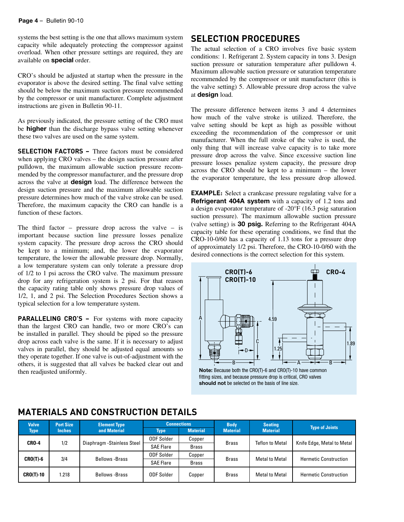systems the best setting is the one that allows maximum system capacity while adequately protecting the compressor against overload. When other pressure settings are required, they are available on special order.

CRO's should be adjusted at startup when the pressure in the evaporator is above the desired setting. The final valve setting should be below the maximum suction pressure recommended by the compressor or unit manufacturer. Complete adjustment instructions are given in Bulletin 90-11.

As previously indicated, the pressure setting of the CRO must be higher than the discharge bypass valve setting whenever these two valves are used on the same system.

**SELECTION FACTORS –** Three factors must be considered when applying CRO valves – the design suction pressure after pulldown, the maximum allowable suction pressure recommended by the compressor manufacturer, and the pressure drop across the valve at design load. The difference between the design suction pressure and the maximum allowable suction pressure determines how much of the valve stroke can be used. Therefore, the maximum capacity the CRO can handle is a function of these factors.

The third factor – pressure drop across the valve – is important because suction line pressure losses penalize system capacity. The pressure drop across the CRO should be kept to a minimum; and, the lower the evaporator temperature, the lower the allowable pressure drop. Normally, a low temperature system can only tolerate a pressure drop of 1/2 to 1 psi across the CRO valve. The maximum pressure drop for any refrigeration system is 2 psi. For that reason the capacity rating table only shows pressure drop values of 1/2, 1, and 2 psi. The Selection Procedures Section shows a typical selection for a low temperature system.

**PARALLELING CRO'S –** For systems with more capacity than the largest CRO can handle, two or more CRO's can be installed in parallel. They should be piped so the pressure drop across each valve is the same. If it is necessary to adjust valves in parallel, they should be adjusted equal amounts so they operate together. If one valve is out-of-adjustment with the others, it is suggested that all valves be backed clear out and then readjusted uniformly.

### **SELECTION PROCEDURES**

The actual selection of a CRO involves five basic system conditions: 1. Refrigerant 2. System capacity in tons 3. Design suction pressure or saturation temperature after pulldown 4. Maximum allowable suction pressure or saturation temperature recommended by the compressor or unit manufacturer (this is the valve setting) 5. Allowable pressure drop across the valve at design load.

The pressure difference between items 3 and 4 determines how much of the valve stroke is utilized. Therefore, the valve setting should be kept as high as possible without exceeding the recommendation of the compressor or unit manufacturer. When the full stroke of the valve is used, the only thing that will increase valve capacity is to take more pressure drop across the valve. Since excessive suction line pressure losses penalize system capacity, the pressure drop across the CRO should be kept to a minimum – the lower the evaporator temperature, the less pressure drop allowed.

**EXAMPLE:** Select a crankcase pressure regulating valve for a Refrigerant 404A system with a capacity of 1.2 tons and a design evaporator temperature of -20°F (16.3 psig saturation suction pressure). The maximum allowable suction pressure (valve setting) is 30 psig. Referring to the Refrigerant 404A capacity table for these operating conditions, we find that the CRO-10-0/60 has a capacity of 1.13 tons for a pressure drop of approximately 1/2 psi. Therefore, the CRO-10-0/60 with the desired connections is the correct selection for this system.



fitting sizes, and because pressure drop is critical, CRO valves should not be selected on the basis of line size.

| <b>Valve</b>     | <b>Port Size</b> | <b>Element Type</b>        |                   | <b>Connections</b> | <b>Body</b>     | <b>Seating</b>         | <b>Type of Joints</b>        |
|------------------|------------------|----------------------------|-------------------|--------------------|-----------------|------------------------|------------------------------|
| Type             | <b>Inches</b>    | and Material               | <b>Type</b>       | <b>Material</b>    | <b>Material</b> | <b>Material</b>        |                              |
| <b>CRO-4</b>     | 1/2              | Diaphragm -Stainless Steel | <b>ODF Solder</b> | Copper             | <b>Brass</b>    | <b>Teflon to Metal</b> | Knife Edge, Metal to Metal   |
|                  |                  |                            | <b>SAE Flare</b>  | Brass              |                 |                        |                              |
| $CRO(T)-6$       | 3/4              | <b>Bellows</b> - Brass     | <b>ODF Solder</b> | Copper             | <b>Brass</b>    | <b>Metal to Metal</b>  | <b>Hermetic Construction</b> |
|                  |                  |                            | <b>SAE Flare</b>  | Brass              |                 |                        |                              |
| <b>CRO(T)-10</b> | 1.218            | <b>Bellows</b> - Brass     | ODF Solder        | Copper             | <b>Brass</b>    | <b>Metal to Metal</b>  | <b>Hermetic Construction</b> |

#### **MATERIALS AND CONSTRUCTION DETAILS**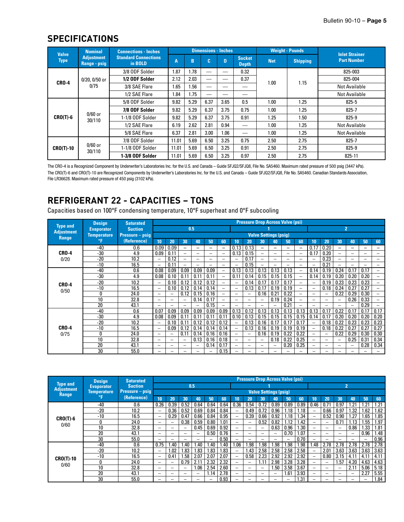### **SPECIFICATIONS**

| <b>Valve</b>     | <b>Nominal</b>                    | <b>Connections - Inches</b>            |       |      | <b>Dimensions - Inches</b> |      |                               |            | <b>Weight - Pounds</b> | <b>Inlet Strainer</b> |
|------------------|-----------------------------------|----------------------------------------|-------|------|----------------------------|------|-------------------------------|------------|------------------------|-----------------------|
| <b>Type</b>      | <b>Adjustment</b><br>Range - psig | <b>Standard Connections</b><br>in BOLD | A     | B    | c.                         | D    | <b>Socket</b><br><b>Depth</b> | <b>Net</b> | <b>Shipping</b>        | <b>Part Number</b>    |
|                  |                                   | 3/8 ODF Solder                         | 1.87  | 1.78 |                            |      | 0.32                          |            |                        | 825-003               |
| <b>CRO-4</b>     | 0/20, 0/50 or                     | 1/2 ODF Solder                         | 2.12  | 2.03 | __                         | __   | 0.37                          | 1.00       | 1.15                   | 825-004               |
|                  | 0/75                              | 3/8 SAE Flare                          | 1.65  | .56  |                            |      |                               |            |                        | <b>Not Available</b>  |
|                  |                                   | 1/2 SAE Flare                          | 1.84  | .75  | __                         |      |                               |            |                        | <b>Not Available</b>  |
|                  |                                   | 5/8 ODF Solder                         | 9.82  | 5.29 | 6.37                       | 3.65 | 0.5                           | 1.00       | 1.25                   | $825 - 5$             |
|                  |                                   | 7/8 ODF Solder                         | 9.82  | 5.29 | 6.37                       | 3.75 | 0.75                          | 1.00       | 1.25                   | $825 - 7$             |
| $CRO(T)-6$       | $0/60$ or<br>30/110               | 1-1/8 ODF Solder                       | 9.82  | 5.29 | 6.37                       | 3.75 | 0.91                          | 1.25       | 1.50                   | 825-9                 |
|                  |                                   | 1/2 SAE Flare                          | 6.19  | 2.62 | 2.81                       | 0.94 |                               | 1.00       | 1.25                   | <b>Not Available</b>  |
|                  |                                   | 5/8 SAE Flare                          | 6.37  | 2.81 | 3.00                       | 1.06 |                               | 1.00       | 1.25                   | <b>Not Available</b>  |
|                  |                                   | 7/8 ODF Solder                         | 11.01 | 5.69 | 6.50                       | 3.25 | 0.75                          | 2.50       | 2.75                   | $825 - 7$             |
| <b>CRO(T)-10</b> | $0/60$ or<br>30/110               | 1-1/8 ODF Solder                       | 11.01 | 5.69 | 6.50                       | 3.25 | 0.91                          | 2.50       | 2.75                   | $825 - 9$             |
|                  |                                   | 1-3/8 ODF Solder                       | 11.01 | 5.69 | 6.50                       | 3.25 | 0.97                          | 2.50       | 2.75                   | 825-11                |

The CRO-4 is a Recognized Component by Underwriter's Laboratories Inc. for the U.S. and Canada – Guide SFJQ2/SFJQ8, File No. SA5460. Maximum rated pressure of 500 psig (3447 kPa). The CRO(T)-6 and CRO(T)-10 are Recognized Components by Underwriter's Laboratories Inc. for the U.S. and Canada – Guide SFJQ2/SFJQ8, File No. SA5460. Canadian Standards Association, File LR36628. Maximum rated pressure of 450 psig (3102 kPa).

# **REFRIGERANT 22 - CAPACITIES – TONS**

Capacities based on 100°F condensing temperature, 10°F superheat and 0°F subcooling

|                                      | <b>Design</b>      | <b>Saturated</b> |                          |                          |                          |                          |                          |                          |                          |      | <b>Pressure Drop Across Valve (psi)</b> |                          |                          |                          |                          |      |      |                          |                          |                          |
|--------------------------------------|--------------------|------------------|--------------------------|--------------------------|--------------------------|--------------------------|--------------------------|--------------------------|--------------------------|------|-----------------------------------------|--------------------------|--------------------------|--------------------------|--------------------------|------|------|--------------------------|--------------------------|--------------------------|
| <b>Type and</b><br><b>Adjustment</b> | <b>Evaporator</b>  | <b>Suction</b>   |                          |                          |                          | 0.5                      |                          |                          |                          |      |                                         |                          |                          |                          |                          |      |      | $\overline{2}$           |                          |                          |
| Range                                | <b>Temperature</b> | Pressure – psig  |                          |                          |                          |                          |                          |                          |                          |      | <b>Valve Settings (psig)</b>            |                          |                          |                          |                          |      |      |                          |                          |                          |
|                                      | °F                 | (Reference)      | 10                       | 20                       | 30                       | 40                       | 50                       | 60                       | 10                       | 20   | 30                                      | 40                       | 50                       | 60                       | 10                       | 20   | 30   | 40                       | 50                       | 60                       |
|                                      | $-40$              | 0.6              | 0.09                     | 0.09                     | -                        | -                        | $\overline{\phantom{0}}$ | -                        | 0.13                     | 0.13 | -                                       | $\overline{\phantom{0}}$ | $\overline{\phantom{0}}$ | -                        | 0.17                     | 0.20 |      | -                        | -                        | -                        |
| <b>CRO-4</b>                         | $-30$              | 4.9              | 0.09                     | 0.11                     | $\overline{\phantom{0}}$ | $\overline{\phantom{0}}$ | $\overline{\phantom{m}}$ | $\overline{\phantom{0}}$ | 0.13                     | 0.15 |                                         |                          | $\overline{\phantom{0}}$ | $\overline{\phantom{0}}$ | 0.17                     | 0.20 |      | -                        | $\overline{\phantom{0}}$ |                          |
| 0/20                                 | $-20$              | 10.2             |                          | 0.12                     | $\overline{\phantom{0}}$ |                          | $\qquad \qquad -$        |                          |                          | 0.17 | $\qquad \qquad -$                       | $\overline{\phantom{0}}$ | $\overline{\phantom{0}}$ | -                        |                          | 0.23 |      | $\overline{\phantom{0}}$ |                          | $\overline{\phantom{0}}$ |
|                                      | $-10$              | 16.5             | $\overline{\phantom{0}}$ | 0.11                     | $\overline{\phantom{0}}$ |                          | $\overline{\phantom{0}}$ | $\overline{\phantom{0}}$ |                          | 0.15 |                                         | $\overline{\phantom{0}}$ | $\overline{\phantom{0}}$ | -                        | $\overline{\phantom{0}}$ | 0.21 |      |                          | $\overline{\phantom{0}}$ | $\overline{\phantom{0}}$ |
|                                      | $-40$              | 0.6              | 0.08                     | 0.09                     | 0.09                     | 0.09                     | 0.09                     |                          | 0.13                     | 0.13 | 0.13                                    | 0.13                     | 0.13                     | -                        | 0.14                     | 0.19 | 0.24 | 0.17                     | 0.17                     |                          |
|                                      | -30                | 4.9              | 0.08                     | 0.10                     | 0.11                     | 0.11                     | 0.11                     | $\overline{\phantom{0}}$ | 0.11                     | 0.14 | 0.15                                    | 0.15                     | 0.15                     | -                        | 0.14                     | 0.19 | 0.20 | 0.20                     | 0.20                     | $\overline{\phantom{0}}$ |
| <b>CRO-4</b>                         | $-20$              | 10.2             | $\overline{\phantom{m}}$ | 0.10                     | 0.12                     | 0.12                     | 0.12                     | -                        |                          | 0.14 | 0.17                                    | 0.17                     | 0.17                     | -                        |                          | 0.19 | 0.23 | 0.23                     | 0.23                     |                          |
| 0/50                                 | $-10$              | 16.5             | -                        | 0.10                     | 0.12                     | 0.14                     | 0.14                     | $\overline{\phantom{0}}$ |                          | 0.13 | 0.17                                    | 0.19                     | 0.19                     | -                        | $\overline{\phantom{0}}$ | 0.18 | 0.24 | 0.27                     | 0.27                     | $\overline{\phantom{0}}$ |
|                                      |                    | 24.0             |                          | $\overline{\phantom{0}}$ | 0.12                     | 0.15                     | 0.16                     | $\overline{\phantom{0}}$ |                          |      | 0.16                                    | 0.21                     | 0.22                     | $\overline{\phantom{0}}$ | $\overline{\phantom{0}}$ |      | 0.22 | 0.29                     | 0.30                     | $\overline{\phantom{0}}$ |
|                                      | 10                 | 32.8             | $\overline{\phantom{0}}$ |                          | $\equiv$                 | 0.14                     | 0.17                     | $\equiv$                 | -                        |      | ۰                                       | 0.19                     | 0.24                     | $\overline{\phantom{0}}$ | -                        | -    |      | 0.26                     | 0.33                     | -                        |
|                                      | 20                 | 43.1             |                          |                          | $\overline{\phantom{0}}$ |                          | 0.15                     | —                        |                          |      |                                         |                          | 0.21                     | $\overline{\phantom{0}}$ |                          |      |      |                          | 0.29                     |                          |
|                                      | $-40$              | 0.6              | 0.07                     | 0.09                     | 0.09                     | 0.09                     | 0.09                     | 0.09                     | 0.13                     | 0.12 | 0.13                                    | 0.13                     | 0.13                     | 0.13                     | 0.13                     | 0.17 | 0.22 | 0.17                     | 0.17                     | 0.17                     |
|                                      | $-30$              | 4.9              | 0.08                     | 0.09                     | 0.11                     | 0.11                     | 0.11                     | 0.11                     | 0.10                     | 0.13 | 0.15                                    | 0.15                     | 0.15                     | 0.15                     | 0.14                     | 0.17 | 0.20 | 0.20                     | 0.20                     | 0.20                     |
|                                      | -20                | 10.2             | $\overline{\phantom{0}}$ | 0.10                     | 0.11                     | 0.12                     | 0.12                     | 0.12                     |                          | 0.13 | 0.16                                    | 0.17                     | 0.17                     | 0.17                     | $\overline{\phantom{0}}$ | 0.18 | 0.22 | 0.23                     | 0.23                     | 0.23                     |
| <b>CRO-4</b>                         | $-10$              | 16.5             |                          | 0.09                     | 0.12                     | 0.14                     | 0.14                     | 0.14                     |                          | 0.13 | 0.16                                    | 0.19                     | 0.19                     | 0.19                     | $\overline{\phantom{0}}$ | 0.18 | 0.22 | 0.27                     | 0.27                     | 0.27                     |
| 0/75                                 | O                  | 24.0             |                          | $\overline{\phantom{0}}$ | 0.11                     | 0.14                     | 0.16                     | 0.16                     | -                        |      | 0.16                                    | 0.19                     | 0.22                     | 0.22                     | $\overline{\phantom{0}}$ |      | 0.22 | 0.29                     | 0.30                     | 0.30                     |
|                                      | 10                 | 32.8             |                          |                          | $\overline{\phantom{0}}$ | 0.13                     | 0.16                     | 0.18                     | $\overline{\phantom{0}}$ |      | $\overline{\phantom{0}}$                | 0.18                     | 0.22                     | 0.25                     | $\overline{\phantom{0}}$ |      |      | 0.25                     | 0.31                     | 0.34                     |
|                                      | 20                 | 43.1             |                          | -                        | $\overline{\phantom{0}}$ |                          | 0.14                     | 0.17                     | $\overline{\phantom{0}}$ |      | $\overline{\phantom{0}}$                | $\overline{\phantom{0}}$ | 0.20                     | 0.25                     | -                        | —    |      | $\overline{\phantom{0}}$ | 0.28                     | 0.34                     |
|                                      | 30                 | 55.0             | $\overline{\phantom{0}}$ |                          | $\overline{\phantom{0}}$ | -                        | $\overline{\phantom{0}}$ | 0.15                     | $\overline{\phantom{0}}$ |      |                                         |                          |                          | $\overline{\phantom{0}}$ | -                        |      |      |                          | $\overline{\phantom{0}}$ |                          |

|                                   | <b>Design</b>     | <b>Saturated</b> |                   |                          |                          |                          |      |      |                          |                          | <b>Pressure Drop Across Valve (psi)</b> |                          |                          |      |                          |      |                          |                          |                          |      |
|-----------------------------------|-------------------|------------------|-------------------|--------------------------|--------------------------|--------------------------|------|------|--------------------------|--------------------------|-----------------------------------------|--------------------------|--------------------------|------|--------------------------|------|--------------------------|--------------------------|--------------------------|------|
| <b>Type and</b>                   | <b>Evaporator</b> | <b>Suction</b>   |                   |                          | 0.5                      |                          |      |      |                          |                          |                                         |                          |                          |      |                          |      |                          | 2                        |                          |      |
| <b>Adjustment</b><br><b>Range</b> | Temperature       | Pressure - psig  |                   |                          |                          |                          |      |      |                          |                          | <b>Valve Settings (psig)</b>            |                          |                          |      |                          |      |                          |                          |                          |      |
|                                   | °F                | (Reference)      | 10                | 20                       | 30                       | 40                       | 50   | 60   | 10                       | 20                       | 30                                      | 40                       | 50                       | 60   | 10                       | 20   | 30                       | 40                       | 50                       | 60   |
|                                   | $-40$             | 0.6              | 0.26              | 0.39                     | 0.52                     | 0.64                     | 0.64 | 0.64 | 0.36                     | 0.54                     | 0.72                                    | 0.89                     | 0.89                     | 0.89 | 0.46                     | 0.71 | 0.97                     | .21                      | 1.21                     | 1.21 |
|                                   | $-20$             | 10.2             |                   | 0.36                     | 0.52                     | 0.69                     | 0.84 | 0.84 |                          | 0.49                     | 0.72                                    | 0.96                     | ∣.18                     | 1.18 |                          | 0.66 | 0.97                     | .32                      | 1.62                     | 1.62 |
| $CRO(T)-6$                        | -10               | 16.5             |                   | 0.29                     | 0.47                     | 0.66                     | 0.84 | 0.95 |                          | 0.39                     | 0.66                                    | 0.92                     | .18                      | 1.34 |                          | 0.52 | 0.90                     | .27                      | . 65                     | 1.85 |
| 0/60                              | 0                 | 24.0             |                   | $\overline{\phantom{a}}$ | 0.38                     | 0.59                     | 0.80 | .01  |                          | $\overline{\phantom{0}}$ | 0.52                                    | 0.82                     | .12                      | 1.42 | -                        |      | 0.71                     | l.13                     | 1.55                     | 1.97 |
|                                   | 10                | 32.8             |                   | -                        | $\overline{\phantom{0}}$ | 0.45                     | 0.69 | 0.92 |                          | $\overline{\phantom{a}}$ |                                         | 0.63                     | 0.96                     | 1.30 | $\overline{\phantom{0}}$ |      | $\overline{\phantom{0}}$ | 0.86                     | 1.33                     | 1.81 |
|                                   | 20                | 43.1             |                   | -                        | $\overline{\phantom{0}}$ |                          | 0.50 | 0.76 |                          | -                        |                                         | $\overline{\phantom{0}}$ | 0.70                     | 1.07 | -                        |      | $\equiv$                 | $\overline{\phantom{0}}$ | 0.96                     | 1.48 |
|                                   | 30                | 55.0             |                   | -                        |                          | $\overline{\phantom{0}}$ | -    | 0.50 |                          | -                        | $\qquad \qquad$                         | $\overline{\phantom{0}}$ | $\qquad \qquad$          | 0.70 | —                        |      | -                        | -                        | $\overline{\phantom{0}}$ | 0.96 |
|                                   | $-40$             | 0.6              | 0.75              | 1.40                     | .40                      | l.40                     | 1.40 | 1.40 | 1.06                     | l.98                     | l.98                                    | l.98                     | .98                      | 1.98 | 1.48                     | 2.78 | 2.78                     | 2.78                     | 2.78                     | 2.78 |
|                                   | -20               | 10.2             | $\qquad \qquad -$ | 1.02                     | .83                      | 1.83                     | 1.83 | 1.83 |                          | 1.43                     | 2.58                                    | 2.58                     | 2.58                     | 2.58 |                          | 2.01 | 3.63                     | 3.63                     | 3.63                     | 3.63 |
| <b>CRO(T)-10</b>                  | -10               | 16.5             |                   | 0.41                     | 1.58                     | 2.07                     | 2.07 | 2.07 |                          | 0.58                     | 2.23                                    | 2.92                     | 2.92                     | 2.92 |                          | 0.80 | 3.15                     | 4.11                     | 4.11                     | 4.11 |
|                                   |                   | 24.0             | $\qquad \qquad$   | $\overline{\phantom{a}}$ | 0.79                     | 2.11                     | 2.32 | 2.32 | $\overline{\phantom{0}}$ | $\overline{\phantom{a}}$ | 1.11                                    | 2.98                     | 3.28                     | 3.28 | -                        |      | 1.57                     | 4.20                     | 4.63                     | 4.63 |
| 0/60                              | 10                | 32.8             |                   | $\overline{\phantom{0}}$ |                          | .06                      | 2.54 | 2.60 | $\overline{\phantom{0}}$ | $\equiv$                 | $\overline{\phantom{0}}$                | 1.50                     | 3.58                     | 3.67 | -                        |      | $\overline{\phantom{0}}$ | 2.11                     | 5.06                     | 5.18 |
|                                   | 20                | 43.1             |                   | $\overline{\phantom{0}}$ | $\overline{\phantom{0}}$ |                          | 1.14 | 2.78 | -                        | $\equiv$                 | $\overline{\phantom{0}}$                |                          | 1.61                     | 3.93 | -                        |      |                          | -                        | 2.27                     | 5.55 |
|                                   | 30                | 55.0             |                   |                          |                          | -                        |      | 0.93 |                          | -                        |                                         | -                        | $\overline{\phantom{0}}$ | 1.31 |                          |      |                          | $\overline{\phantom{0}}$ | $\overline{\phantom{m}}$ | 1.84 |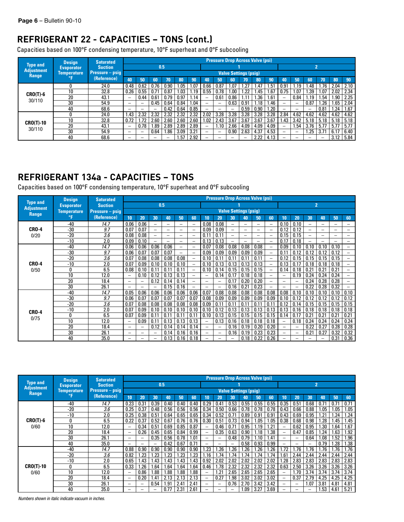# **REFRIGERANT 22 - CAPACITIES – TONS (cont.)**

Capacities based on 100°F condensing temperature, 10°F superheat and 0°F subcooling

|                                      | <b>Design</b>      | <b>Saturated</b>         |                          |                          |                          |      |      |      |      |      | <b>Pressure Drop Across Valve (psi)</b> |      |      |      |      |                          |      |                |      |      |
|--------------------------------------|--------------------|--------------------------|--------------------------|--------------------------|--------------------------|------|------|------|------|------|-----------------------------------------|------|------|------|------|--------------------------|------|----------------|------|------|
| <b>Type and</b><br><b>Adiustment</b> | <b>Evaporator</b>  | <b>Suction</b>           |                          |                          | 0.5                      |      |      |      |      |      |                                         |      |      |      |      |                          |      | $\overline{2}$ |      |      |
| <b>Range</b>                         | <b>Temperature</b> | <b>Pressure</b> $-$ psig |                          |                          |                          |      |      |      |      |      | <b>Valve Settings (psig)</b>            |      |      |      |      |                          |      |                |      |      |
|                                      | °F                 | (Reference)              | 40                       | 50                       | 60                       | 70   | 80   | 90   | 40   | 50   | 60                                      | 70   | 80   | 90   | 40   | 50                       | 60   | 70             | 80   | 90   |
|                                      |                    | 24.0                     | 0.48                     | 0.62                     | 0.76                     | 0.90 | l.O5 | . 07 | 0.66 | 0.87 | l.O7                                    | . 27 | .47  | l.51 | 0.91 | .19                      | .48  | .76            | 2.04 | 2.10 |
| $CRO(T)-6$                           | 10                 | 32.8                     | 0.26                     | 0.55                     | 0.71                     | 0.87 | l.O3 | 1.19 | 0.55 | 0.78 | 1.00                                    | .22  | .45  | 1.67 | 0.75 | .07                      | 1.39 | 1.07           | 2.02 | 2.34 |
| 30/110                               | 20                 | 43.1                     | -                        | 0.44                     | 0.61                     | 0.79 | 0.97 | 1.14 |      | 0.61 | 0.86                                    |      | .36  | 1.61 |      | 0.84                     | 1.19 | 1.54           | .90  | 2.25 |
|                                      | 30                 | 54.9                     | $\qquad \qquad$          |                          | 0.45                     | 0.64 | 0.84 | .04  |      |      | 0.63                                    | 0.91 | .18  | 1.46 | -    | ۰                        | 0.87 | .26            | .65  | 2.04 |
|                                      | 40                 | 68.6                     | $\overline{\phantom{m}}$ | -                        | $\overline{\phantom{0}}$ | 0.42 | 0.64 | 0.85 |      |      | $\overline{\phantom{0}}$                | 0.59 | 0.90 | 1.20 |      | $\overline{\phantom{a}}$ |      | 0.81           | .24  | 1.67 |
|                                      |                    | 24.0                     | 1.43                     | 2.32                     | 2.32                     | 2.32 | 2.32 | 2.32 | 2.02 | 3.28 | 3.28                                    | 3.28 | 3.28 | 3.28 | 2.84 | 4.62                     | 4.62 | 4.62           | 4.62 | 4.62 |
| <b>CRO(T)-10</b>                     | 10                 | 32.8                     | 0.72                     | .72                      | 2.60                     | 2.60 | 2.60 | 2.60 | .02  | 2.43 | 3.67                                    | 3.67 | 3.67 | 3.67 | . 43 | 3.42                     | 5.18 | 5.18           | 5.18 | 5.18 |
| 30/110                               | 20                 | 43.1                     |                          | 0.78                     | .89                      | 2.89 | 2.89 | 2.89 |      | 1.10 | 2.66                                    | 4.09 | 4.09 | 4.09 |      | .54                      | 3.76 | 5.77           | 5.77 | 5.77 |
|                                      | 30                 | 54.9                     |                          | $\overline{\phantom{0}}$ | 0.64                     | .86  | 3.09 | 3.21 |      | -    | 0.90                                    | 2.63 | 4.37 | 4.53 |      | -                        | 1.25 | 3.7            | 6.17 | 6.40 |
|                                      | 40                 | 68.6                     |                          |                          |                          | -    | .57  | 2.92 |      |      |                                         |      | 2.22 | 4.13 |      |                          |      |                | 3.12 | 5.84 |

# **REFRIGERANT 134a - CAPACITIES – TONS**

Capacities based on 100°F condensing temperature, 10°F superheat and 0°F subcooling

|                   | <b>Design</b>      | <b>Saturated</b> |                          |                          |                          |                          |                          |                          |                          |                          | <b>Pressure Drop Across Valve (psi)</b> |                          |                          |                          |                          |      |                          |                          |      |                          |
|-------------------|--------------------|------------------|--------------------------|--------------------------|--------------------------|--------------------------|--------------------------|--------------------------|--------------------------|--------------------------|-----------------------------------------|--------------------------|--------------------------|--------------------------|--------------------------|------|--------------------------|--------------------------|------|--------------------------|
| <b>Type and</b>   | <b>Evaporator</b>  | <b>Suction</b>   |                          |                          | 0.5                      |                          |                          |                          |                          |                          |                                         |                          |                          |                          |                          |      |                          | $\overline{2}$           |      |                          |
| <b>Adjustment</b> | <b>Temperature</b> | Pressure - psig  |                          |                          |                          |                          |                          |                          |                          |                          | <b>Valve Settings (psig)</b>            |                          |                          |                          |                          |      |                          |                          |      |                          |
| Range             | °F                 | (Reference)      | 10 <sup>1</sup>          | 20                       | 30                       | 40                       | 50                       | 60                       | 10                       | 20                       | 30                                      | 40                       | 50                       | 60                       | 10                       | 20   | 30                       | 40                       | 50   | 60                       |
|                   | -40                | 14.7             | 0.06                     | 0.06                     | $\overline{\phantom{0}}$ | $\qquad \qquad$          | -                        | $\qquad \qquad$          | 0.08                     | 0.08                     | $\overline{\phantom{0}}$                | $\qquad \qquad -$        | $\overline{\phantom{0}}$ | -                        | 0.10                     | 0.10 | -                        | $\qquad \qquad$          | -    | $\overline{\phantom{0}}$ |
| <b>CRO-4</b>      | -30                | 9.7              | 0.07                     | 0.07                     | $\overline{\phantom{0}}$ | —                        | -                        | $\overline{\phantom{0}}$ | 0.09                     | 0.09                     | -                                       | $\overline{\phantom{0}}$ | -                        | $\overline{\phantom{0}}$ | 0.12                     | 0.12 | $\overline{\phantom{0}}$ | $\overline{\phantom{0}}$ | -    | -                        |
| 0/20              | $-20$              | 3.6              | 0.08                     | 0.08                     | $\overline{\phantom{0}}$ | $\overline{\phantom{0}}$ | -                        | $\overline{\phantom{0}}$ | 0.11                     | 0.11                     | $\overline{\phantom{0}}$                | -                        | -                        | $\overline{\phantom{0}}$ | 0.15                     | 0.15 | $\overline{\phantom{0}}$ |                          | -    |                          |
|                   | $-10$              | 2.0              | 0.09                     | 0.10                     | $\overline{\phantom{0}}$ |                          | $\overline{\phantom{0}}$ | $\overline{\phantom{0}}$ | 0.13                     | 0.13                     | $\overline{a}$                          | $\overline{\phantom{0}}$ | $\overline{\phantom{0}}$ | -                        | 0.17                     | 0.18 | $\overline{\phantom{0}}$ | $\overline{\phantom{0}}$ | -    | $\overline{\phantom{0}}$ |
|                   | $-40$              | 14.7             | 0.06                     | 0.06                     | 0.06                     | 0.06                     | $\overline{\phantom{0}}$ | $\overline{\phantom{0}}$ | 0.07                     | 0.08                     | 0.08                                    | 0.08                     | 0.08                     | -                        | 0.09                     | 0.10 | 0.10                     | 0.10                     | 0.10 | $\overline{\phantom{0}}$ |
|                   | $-30$              | 9.7              | 0.06                     | 0.07                     | 0.07                     | 0.07                     | $\overline{\phantom{0}}$ | $\overline{\phantom{0}}$ | 0.09                     | 0.09                     | 0.09                                    | 0.09                     | 0.09                     | $\overline{\phantom{0}}$ | 0.11                     | 0.12 | 0.12                     | 0.12                     | 0.12 | $\overline{\phantom{0}}$ |
|                   | $-20$              | 3.6              | 0.07                     | 0.08                     | 0.08                     | 0.08                     | 0.08                     | $\overline{\phantom{0}}$ | 0.10                     | 0.11                     | 0.11                                    | 0.11                     | 0.11                     | $\overline{\phantom{0}}$ | 0.12                     | 0.15 | 0.15                     | 0.15                     | 0.15 | $\overline{\phantom{0}}$ |
| <b>CRO-4</b>      | $-10$              | 2.0              | 0.07                     | 0.09                     | 0.10                     | 0.10                     | 0.10                     | -                        | 0.10                     | 0.13                     | 0.13                                    | 0.13                     | 0.13                     | $\overline{\phantom{0}}$ | 0.13                     | 0.17 | 0.18                     | 0.18                     | 0.18 |                          |
| 0/50              | 0                  | 6.5              | 0.08                     | 0.10                     | 0.11                     | 0.11                     | 0.11                     | -                        | 0.10                     | 0.14                     | 0.15                                    | 0.15                     | 0.15                     | $\overline{\phantom{0}}$ | 0.14                     | 0.18 | 0.21                     | 0.21                     | 0.21 | $\overline{\phantom{0}}$ |
|                   | 10 <sup>2</sup>    | 12.0             | $\overline{\phantom{0}}$ | 0.10                     | 0.12                     | 0.13                     | 0.13                     | -                        |                          | 0.14                     | 0.17                                    | 0.18                     | 0.18                     | $\overline{\phantom{0}}$ |                          | 0.19 | 0.24                     | 0.24                     | 0.24 |                          |
|                   | 20                 | 18.4             | $\overline{\phantom{0}}$ | $\overline{\phantom{0}}$ | 0.12                     | 0.14                     | 0.14                     |                          |                          | $\overline{\phantom{0}}$ | 0.17                                    | 0.20                     | 0.20                     | $\overline{\phantom{0}}$ |                          |      | 0.24                     | 0.28                     | 0.28 |                          |
|                   | 30                 | 26.1             |                          | -                        | -                        | 0.15                     | 0.16                     |                          |                          | $\overline{\phantom{0}}$ | 0.16                                    | 0.21                     | 0.23                     | $\overline{\phantom{0}}$ |                          |      | 0.22                     | 0.28                     | 0.32 |                          |
|                   | $-40$              | 14.7             | 0.05                     | 0.06                     | 0.06                     | 0.06                     | 0.06                     | 0.06                     | 0.07                     | 0.08                     | 0.08                                    | 0.08                     | 0.08                     | 0.08                     | 0.08                     | 0.10 | 0.10                     | 0.10                     | 0.10 | 0.10                     |
|                   | $-30$              | 9.7              | 0.06                     | 0.07                     | 0.07                     | 0.07                     | 0.07                     | 0.07                     | 0.08                     | 0.09                     | 0.09                                    | 0.09                     | 0.09                     | 0.09                     | 0.10                     | 0.12 | 0.12                     | 0.12                     | 0.12 | 0.12                     |
|                   | $-20$              | 3.6              | 0.07                     | 0.08                     | 0.08                     | 0.08                     | 0.08                     | 0.08                     | 0.09                     | 0.11                     | 0.11                                    | 0.11                     | 0.11                     | 0.11                     | 0.12                     | 0.14 | 0.15                     | 0.15                     | 0.15 | 0.15                     |
| <b>CRO-4</b>      | $-10$              | 2.0              | 0.07                     | 0.09                     | 0.10                     | 0.10                     | 0.10                     | 0.10                     | 0.10                     | 0.12                     | 0.13                                    | 0.13                     | 0.13                     | 0.13                     | 0.13                     | 0.16 | 0.18                     | 0.18                     | 0.18 | 0.18                     |
| 0/75              | 0                  | 6.5              | 0.07                     | 0.09                     | 0.11                     | 0.11                     | 0.11                     | 0.11                     | 0.10                     | 0.13                     | 0.15                                    | 0.15                     | 0.15                     | 0.15                     | 0.14                     | 0.17 | 0.21                     | 0.21                     | 0.21 | 0.21                     |
|                   | 10                 | 12.0             | $\overline{\phantom{0}}$ | 0.09                     | 0.11                     | 0.13                     | 0.13                     | 0.13                     |                          | 0.13                     | 0.16                                    | 0.18                     | 0.18                     | 0.18                     | $\overline{\phantom{0}}$ | 0.18 | 0.24                     | 0.24                     | 0.24 | 0.24                     |
|                   | $\overline{20}$    | 18.4             |                          | $\overline{\phantom{0}}$ | 0.12                     | 0.14                     | 0.14                     | 0.14                     | $\overline{\phantom{0}}$ | $\overline{\phantom{0}}$ | 0.16                                    | 0.19                     | 0.20                     | 0.20                     | $\overline{\phantom{0}}$ |      | 0.22                     | 0.27                     | 0.28 | 0.28                     |
|                   | 30                 | 26.1             | $\overline{\phantom{0}}$ | $\overline{\phantom{0}}$ | $\qquad \qquad -$        | 0.14                     | 0.16                     | 0.16                     | $\overline{\phantom{0}}$ | $\overline{\phantom{0}}$ | 0.16                                    | 0.19                     | 0.23                     | 0.23                     | $\overline{\phantom{0}}$ |      | 0.21                     | 0.27                     | 0.32 | 0.32                     |
|                   | 40                 | 35.0             | -                        |                          | $\overline{\phantom{0}}$ | 0.13                     | 0.16                     | 0.18                     |                          |                          | -                                       | 0.18                     | 0.22                     | 0.26                     | -                        |      |                          | $\qquad \qquad$          | 0.31 | 0.36                     |

|                                      | <b>Design</b>      | <b>Saturated</b>       |                          |                          |      |      |      |      |                          |                          | <b>Pressure Drop Across Valve (psi)</b> |      |      |      |      |                 |                          |                |      |      |
|--------------------------------------|--------------------|------------------------|--------------------------|--------------------------|------|------|------|------|--------------------------|--------------------------|-----------------------------------------|------|------|------|------|-----------------|--------------------------|----------------|------|------|
| <b>Type and</b><br><b>Adiustment</b> | <b>Evaporator</b>  | <b>Suction</b>         |                          |                          | 0.5  |      |      |      |                          |                          |                                         |      |      |      |      |                 |                          | $\overline{2}$ |      |      |
| <b>Range</b>                         | <b>Temperature</b> | <b>Pressure</b> – psig |                          |                          |      |      |      |      |                          |                          | <b>Valve Settings (psig)</b>            |      |      |      |      |                 |                          |                |      |      |
|                                      | °F                 | (Reference)            | 10                       | 20                       | 30   | 40   | 50   | 60   | 10                       | 20                       | 30                                      | 40   | 50   | 60   | 10   | 20              | 30                       | 40             | 50   | 60   |
|                                      | $-40$              | 14.7                   | 0.23                     | $0.3^{\circ}$            | 0.39 | 0.40 | 0.40 | 0.40 | 0.29                     | 0.41                     | 0.53                                    | 0.55 | 0.55 | 0.55 | 0.35 | 0.51            | 0.68                     | $0.7^{\circ}$  | 0.71 | 0.71 |
|                                      | $-20$              | 3.6                    | 0.25                     | 0.37                     | 0.48 | 0.56 | 0.56 | 0.56 | 0.34                     | 0.50                     | 0.66                                    | 0.78 | 0.78 | 0.78 | 0.43 | 0.66            | 0.88                     | 1.05           | 1.05 | 1.05 |
|                                      | $-10$              | 2.0                    | 0.25                     | 0.38                     | 0.51 | 0.64 | 0.65 | 0.65 | 0.34                     | 0.52                     | 0.71                                    | 0.89 | 0.91 | 0.91 | 0.43 | 0.69            | 0.95                     | 1.21           | .24  | 1.24 |
| $CRO(T)-6$                           | 0                  | 6.5                    | 0.22                     | 0.37                     | 0.52 | 0.67 | 0.76 | 0.76 | 0.30                     | 0.51                     | 0.73                                    | 0.94 | 1.05 | 1.05 | 0.38 | 0.68            | 0.98                     | .28            | 1.45 | 1.45 |
| 0/60                                 | 10                 | 12.0                   | $\overline{\phantom{0}}$ | 0.34                     | 0.51 | 0.69 | 0.85 | 0.87 | $\overline{\phantom{0}}$ | 0.46                     | 0.71                                    | 0.95 | .19  | 1.21 |      | 0.62            | 0.95                     | 1.30           | .64  | 1.67 |
|                                      | 20                 | 18.4                   | $\overline{\phantom{m}}$ | 0.26                     | 0.45 | 0.65 | 0.84 | 0.99 |                          | 0.35                     | 0.63                                    | 0.90 | .18  | 1.38 |      | 0.47            | 0.85                     | .24            | 1.63 | l.92 |
|                                      | 30                 | 26.1                   | $\overline{\phantom{0}}$ | $\overline{\phantom{0}}$ | 0.35 | 0.56 | 0.78 | 1.01 |                          |                          | 0.48                                    | 0.79 | .10  | 1.41 |      |                 | 0.64                     | l.08           | 1.52 | .96  |
|                                      | 40                 | 35.0                   | $\overline{\phantom{0}}$ | -                        |      | 0.42 | 0.67 | 0.71 |                          | $\overline{\phantom{0}}$ | $\overline{\phantom{0}}$                | 0.58 | 0.93 | 0.99 | -    |                 | $\overline{\phantom{0}}$ | 0.79           | .28  | 1.38 |
|                                      | $-40$              | 14.7                   | 0.88                     | 0.90                     | 0.90 | 0.90 | 0.90 | 0.90 | .23                      | .26                      | .26                                     | .26  | .26  | .26  | 1.72 | 1.76            | 1.76                     | 1.76           | 1.76 | 1.76 |
|                                      | $-20$              | 3.6                    | 0.82                     | .23                      | .23  | .23  | .23  | .23  | .16                      | 1.74                     | 74                                      | .74  | .74  | 1.74 | 1.61 | 2.44            | 2.44                     | 2.44           | 2.44 | 2.44 |
|                                      | $-10$              | 2.0                    | 0.65                     | .43                      | .43  | 1.43 | l.43 | .43  | 0.92                     | 2.02                     | 2.02                                    | 2.02 | 2.02 | 2.02 | .28  | 2.83            | 2.83                     | 2.83           | 2.83 | 2.83 |
| <b>CRO(T)-10</b>                     | O                  | 6.5                    | 0.33                     | .26                      | .64  | . 64 | .64  | l.64 | 0.46                     | 1.78                     | 2.32                                    | 2.32 | 2.32 | 2.32 | 0.63 | 2.50            | 3.26                     | 3.26           | 3.26 | 3.26 |
| 0/60                                 | 10                 | 12.0                   |                          | 0.86                     | .88  | 1.88 | .88  | 1.88 |                          | 1.21                     | 2.65                                    | 2.65 | 2.65 | 2.65 |      | 1.70            | 3.74                     | 3.74           | 3.74 | 3.74 |
|                                      | 20                 | 18.4                   |                          | 0.20                     | .41  | 2.13 | 2.13 | 2.13 | $\overline{\phantom{0}}$ | 0.27                     | .98                                     | 3.02 | 3.02 | 3.02 |      | 0.37            | 2.79                     | 4.25           | 4.25 | 4.25 |
|                                      | 30                 | 26.1                   | $\overline{\phantom{m}}$ | $\qquad \qquad -$        | 0.54 | l.91 | 2.41 | 2.41 | $\overline{\phantom{0}}$ | $\overline{\phantom{m}}$ | 0.76                                    | 2.70 | 3.42 | 3.42 | -    | $\qquad \qquad$ | 1.07                     | 3.81           | 4.81 | 4.81 |
|                                      | 40                 | 35.0                   |                          |                          |      | 0.77 | 2.31 | 2.61 |                          |                          |                                         | .09  | 3.27 | 3.69 |      |                 |                          | l.53           | 4.61 | 5.21 |

*Numbers shown in italic indicate vacuum in inches.*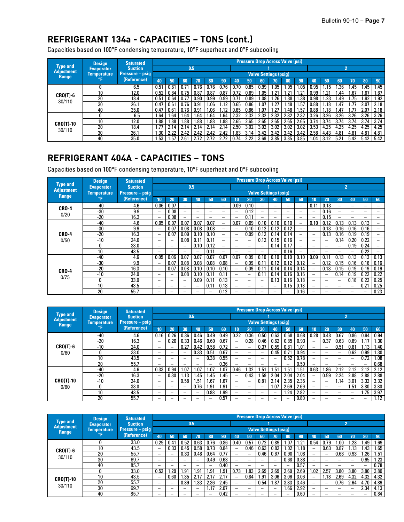# **REFRIGERANT 134a - CAPACITIES – TONS (cont.)**

Capacities based on 100°F condensing temperature, 10°F superheat and 0°F subcooling

|                                      | <b>Design</b>     | <b>Saturated</b> |      |      |      |      |      |      |      |      | <b>Pressure Drop Across Valve (psi)</b> |      |      |      |      |      |      |      |      |      |
|--------------------------------------|-------------------|------------------|------|------|------|------|------|------|------|------|-----------------------------------------|------|------|------|------|------|------|------|------|------|
| <b>Type and</b><br><b>Adiustment</b> | <b>Evaporator</b> | <b>Suction</b>   |      |      | 0.5  |      |      |      |      |      |                                         |      |      |      |      |      | n    |      |      |      |
| <b>Range</b>                         | Temperature       | Pressure – psig  |      |      |      |      |      |      |      |      | <b>Valve Settings (psig)</b>            |      |      |      |      |      |      |      |      |      |
|                                      | °F                | (Reference)      | 40   | 50   | 60   | 70   | 80   | 90   | 40   | 50   | 60                                      | 70   | 80   | 90   | 40   | 50   | 60   | 70   | 80   | 90   |
|                                      |                   | 6.5              | 0.51 | 0.61 | 0.71 | 0.76 | 0.76 | 0.76 | 0.70 | 0.85 | 0.99                                    | l.O5 | .05  | .05  | 0.95 | .15  | .36  | 1.45 | .45  | 1.45 |
| $CRO(T)-6$                           | 10 <sup>10</sup>  | 12.0             | 0.52 | 0.64 | 0.75 | 0.87 | 0.87 | 0.87 | 0.72 | 0.89 | 1.05                                    | 1.21 | .21  | .21  | 0.99 | .21  | .44  | 1.67 | 1.67 | 1.67 |
| 30/110                               | 20                | 18.4             | 0.51 | 0.64 | 0.77 | 0.90 | 0.99 | 0.99 | 0.71 | 0.89 | 1.08                                    | .26  | .38  | .38  | 0.98 | .23  | l.49 | 1.75 | 1.92 | 1.92 |
|                                      | 30                | 26.1             | 0.47 | 0.61 | 0.76 | 0.91 | 1.06 | 1.12 | 0.65 | 0.86 | 1.07                                    | 1.27 | 1.48 | 1.57 | 0.88 | .18  | 1.47 |      | 2.07 | 2.18 |
|                                      | 40                | 35.0             | 0.47 | 0.61 | 0.76 | 0.91 | .06  | .12  | 0.65 | 0.86 | 1.07                                    | 1.27 | .48  | .57  | 0.88 | .18  | .47  |      | 2.07 | 2.18 |
|                                      |                   | 6.5              | .64  | 1.64 | l.64 | 1.64 | .64  | .64  | 2.32 | 2.32 | 2.32                                    | 2.32 | 2.32 | 2.32 | 3.26 | 3.26 | 3.26 | 3.26 | 3.26 | 3.26 |
| <b>CRO(T)-10</b>                     | 10                | 12.0             | .88  | 1.88 | 1.88 | 1.88 | 88.I | .88  | 2.65 | 2.65 | 2.65                                    | 2.65 | 2.65 | 2.65 | 3.74 | 3.74 | 3.74 | 3.74 | 3.74 | 3.74 |
|                                      | 20                | 18.4             | .77  | 2.14 | 2.14 | 2.14 | 2.14 | 2.14 | 2.50 | 3.02 | 3.02                                    | 3.02 | 3.02 | 3.02 | 3.53 | 4.25 | 4.25 | 4.25 | 4.25 | 4.25 |
| 30/110                               | 30                | 26.1             | .30  | 2.22 | 2.42 | 2.42 | 2.42 | 2.42 | 1.83 | 3.14 | 3.42                                    | 3.42 | 3.42 | 3.42 | 2.58 | 4.43 | 4.81 | 4.81 | 4.81 | 4.81 |
|                                      | 40                | 35.0             | .53  | 1.57 | 2.61 |      | 2.72 | 2.72 | 0.74 | 2.22 | 3.69                                    | 3.85 | 3.85 | 3.85 | .04  | 3.12 | 5.21 | 5.42 | 5.42 | 5.42 |

### **REFRIGERANT 404A - CAPACITIES – TONS**

Capacities based on 100°F condensing temperature, 10°F superheat and 0°F subcooling

|                                      | <b>Design</b>      | <b>Saturated</b>         |                          |                          |                          |                          |                          |                          |                          |                          | <b>Pressure Drop Across Valve (psi)</b> |                          |                          |                          |                          |      |                          |                          |                          |                          |
|--------------------------------------|--------------------|--------------------------|--------------------------|--------------------------|--------------------------|--------------------------|--------------------------|--------------------------|--------------------------|--------------------------|-----------------------------------------|--------------------------|--------------------------|--------------------------|--------------------------|------|--------------------------|--------------------------|--------------------------|--------------------------|
| <b>Type and</b><br><b>Adjustment</b> | <b>Evaporator</b>  | <b>Suction</b>           |                          |                          |                          | 0.5                      |                          |                          |                          |                          |                                         |                          |                          |                          |                          |      | $\mathbf{2}^{\prime}$    |                          |                          |                          |
| Range                                | <b>Temperature</b> | <b>Pressure</b> $-$ psig |                          |                          |                          |                          |                          |                          |                          |                          | <b>Valve Settings (psig)</b>            |                          |                          |                          |                          |      |                          |                          |                          |                          |
|                                      | °F                 | (Reference)              | 10                       | 20                       | 30                       | 40                       | 50                       | 60                       | 10                       | 20                       | 30                                      | 40                       | 50                       | 60                       | 10                       | 20   | 30                       | 40                       | 50                       | 60                       |
| <b>CRO-4</b>                         | $-40$              | 4.6                      | 0.06                     | 0.07                     | $\overline{\phantom{0}}$ | $\overline{\phantom{0}}$ | $\overline{\phantom{m}}$ | $\overline{\phantom{0}}$ | 0.09                     | 0.10                     | $\overline{\phantom{m}}$                | $\overline{\phantom{m}}$ | $\overline{\phantom{0}}$ | $\overline{\phantom{0}}$ | 0.11                     | 0.13 | $\overline{\phantom{0}}$ | -                        |                          | -                        |
| 0/20                                 | -30                | 9.9                      | $\qquad \qquad$          | 0.08                     | $\overline{\phantom{0}}$ |                          |                          | —                        | $\overline{\phantom{0}}$ | 0.12                     | -                                       | $\qquad \qquad$          | -                        | $\overline{\phantom{0}}$ | $\overline{\phantom{0}}$ | 0.16 |                          |                          | $\qquad \qquad$          |                          |
|                                      | $-20$              | 16.3                     | $\overline{\phantom{0}}$ | 0.08                     | $\overline{\phantom{0}}$ |                          | $\overline{\phantom{0}}$ |                          |                          | 0.11                     | -                                       | $\overline{\phantom{0}}$ | $\overline{\phantom{0}}$ | $\overline{\phantom{0}}$ | $\overline{\phantom{0}}$ | 0.15 |                          |                          |                          | -                        |
|                                      | $-40$              | 4.6                      | 0.05                     | 0.07                     | 0.07                     | 0.07                     | 0.07                     | —                        | 0.07                     | 0.09                     | 0.10                                    | 0.10                     | 0.10                     | -                        | 0.10                     | 0.12 | 0.13                     | 0.13                     | 0.13                     | $\overline{\phantom{0}}$ |
|                                      | $-30$              | 9.9                      | $\overline{\phantom{0}}$ | 0.07                     | 0.08                     | 0.08                     | 0.08                     | $\overline{\phantom{0}}$ |                          | 0.10                     | 0.12                                    | 0.12                     | 0.12                     | -                        | $\overline{\phantom{0}}$ | 0.13 | 0.16                     | 0.16                     | 0.16                     | —                        |
| <b>CRO-4</b>                         | $-20$              | 16.3                     | $\overline{\phantom{0}}$ | 0.07                     | 0.09                     | 0.10                     | 0.10                     | $\overline{\phantom{0}}$ | $\overline{\phantom{0}}$ | 0.09                     | 0.12                                    | 0.14                     | 0.14                     | $\overline{\phantom{0}}$ | $\overline{\phantom{0}}$ | 0.13 | 0.16                     | 0.19                     | 0.19                     | -                        |
| 0/50                                 | $-10$              | 24.0                     | $\overline{\phantom{0}}$ | $\overline{\phantom{a}}$ | 0.08                     | 0.11                     | 0.11                     | $\overline{\phantom{0}}$ | $\overline{\phantom{0}}$ |                          | 0.12                                    | 0.15                     | 0.16                     | $\overline{\phantom{0}}$ | -                        |      | 0.14                     | 0.20                     | 0.22                     |                          |
|                                      | 0                  | 33.0                     |                          |                          | $\overline{\phantom{0}}$ | 0.10                     | 0.12                     | $\overline{\phantom{0}}$ | -                        |                          | ۰                                       | 0.14                     | 0.17                     | $\overline{\phantom{0}}$ | -                        |      |                          | 0.19                     | 0.24                     |                          |
|                                      | 10                 | 43.5                     | —                        | ۰                        | $\overline{\phantom{0}}$ | $\overline{\phantom{0}}$ | 0.11                     | —                        | -                        |                          | -                                       | $\overline{\phantom{0}}$ | 0.16                     | $\overline{\phantom{0}}$ |                          | -    |                          | -                        | 0.22                     |                          |
|                                      | -40                | 4.6                      | 0.05                     | 0.06                     | 0.07                     | 0.07                     | 0.07                     | 0.07                     | 0.07                     | 0.09                     | 0.10                                    | 0.10                     | 0.10                     | 0.10                     | 0.09                     | 0.11 | 0.13                     | 0.13                     | 0.13                     | 0.13                     |
|                                      | $-30$              | 9.9                      | -                        | 0.07                     | 0.08                     | 0.08                     | 0.08                     | 0.08                     |                          | 0.09                     | 0.11                                    | 0.12                     | 0.12                     | 0.12                     |                          | 0.12 | 0.15                     | 0.16                     | 0.16                     | 0.16                     |
| <b>CRO-4</b>                         | $-20$              | 16.3                     |                          | 0.07                     | 0.08                     | 0.10                     | 0.10                     | 0.10                     |                          | 0.09                     | 0.11                                    | 0.14                     | 0.14                     | 0.14                     |                          | 0.13 | 0.15                     | 0.19                     | 0.19                     | 0.19                     |
|                                      | $-10$              | 24.0                     |                          | $\overline{\phantom{0}}$ | 0.08                     | 0.10                     | 0.11                     | 0.11                     | $-$                      |                          | 0.11                                    | 0.14                     | 0.16                     | 0.16                     | $\overline{\phantom{0}}$ |      | 0.14                     | 0.19                     | 0.22                     | 0.22                     |
| 0/75                                 | 0                  | 33.0                     |                          |                          |                          | 0.09                     | 0.11                     | 0.13                     | $\qquad \qquad -$        | $\overline{\phantom{0}}$ | $\overline{\phantom{0}}$                | 0.13                     | 0.16                     | 0.18                     | $\overline{\phantom{0}}$ | -    |                          | 0.18                     | 0.22                     | 0.25                     |
|                                      | 10                 | 43.5                     | $\overline{\phantom{0}}$ | $\overline{\phantom{0}}$ | $\qquad \qquad$          | $\qquad \qquad$          | 0.11                     | 0.13                     | $\overline{\phantom{0}}$ |                          | $\overline{\phantom{0}}$                | $\overline{\phantom{0}}$ | 0.15                     | 0.18                     | —                        | -    | $\overline{\phantom{0}}$ | $\overline{\phantom{0}}$ | 0.21                     | 0.25                     |
|                                      | 20                 | 55.7                     |                          |                          |                          |                          | —                        | 0.12                     |                          |                          |                                         |                          | $\overline{\phantom{0}}$ | 0.16                     |                          |      |                          |                          | $\overline{\phantom{0}}$ | 0.23                     |

|                                   | <b>Design</b>      | <b>Saturated</b> |                          |                          |                          |                          |      |      |                 |                          |                          | <b>Pressure Drop Across Valve (psi)</b> |      |      |                          |      |                          |                          |                          |      |
|-----------------------------------|--------------------|------------------|--------------------------|--------------------------|--------------------------|--------------------------|------|------|-----------------|--------------------------|--------------------------|-----------------------------------------|------|------|--------------------------|------|--------------------------|--------------------------|--------------------------|------|
| <b>Type and</b>                   | <b>Evaporator</b>  | <b>Suction</b>   |                          |                          |                          | 0.5                      |      |      |                 |                          |                          |                                         |      |      |                          |      |                          | 2                        |                          |      |
| <b>Adjustment</b><br><b>Range</b> | <b>Temperature</b> | Pressure - psig  |                          |                          |                          |                          |      |      |                 |                          |                          | <b>Valve Settings (psig)</b>            |      |      |                          |      |                          |                          |                          |      |
|                                   | °F                 | (Reference)      | 10 <sup>1</sup>          | 20                       | 30                       | 40                       | 50   | 60   | 10 <sup>1</sup> | 20                       | 30                       | 40                                      | 50   | 60   | 10                       | 20   | 30                       | 40                       | 50                       | 60   |
|                                   | -40                | 4.6              | 0.16                     | 0.26                     | 0.36                     | 0.46                     | 0.49 | 0.49 | 0.22            | 0.36                     | 0.50                     | 0.63                                    | 0.68 | 0.68 | 0.28                     | 0.48 | 0.67                     | 0.86                     | 0.94                     | 0.94 |
|                                   | $-20$              | 16.3             | $\overline{\phantom{0}}$ | 0.20                     | 0.33                     | 0.46                     | 0.60 | 0.67 |                 | 0.28                     | 0.46                     | 0.62                                    | 0.85 | 0.93 |                          | 0.37 | 0.63                     | 0.89                     |                          | 1.30 |
| $CRO(T)-6$                        | $-10$              | 24.0             |                          | $\overline{\phantom{0}}$ | 0.27                     | 0.42                     | 0.58 | 0.72 | -               | $\overline{\phantom{0}}$ | 0.37                     | 0.59                                    | 0.81 | 1.01 | -                        |      | 0.51                     | 0.81                     | .13                      | 1.40 |
| 0/60                              | 0                  | 33.0             | $\overline{\phantom{0}}$ | -                        |                          | 0.33                     | 0.51 | 0.67 | -               | $\overline{\phantom{0}}$ | -                        | 0.45                                    | 0.71 | 0.94 | $\overline{\phantom{0}}$ |      | $\overline{\phantom{0}}$ | 0.62                     | 0.99                     | 1.30 |
|                                   | 10                 | 43.5             | $\overline{\phantom{m}}$ | -                        | $\overline{\phantom{m}}$ | $\overline{\phantom{0}}$ | 0.38 | 0.55 | -               | $\overline{\phantom{m}}$ | -                        |                                         | 0.52 | 0.78 | $\overline{\phantom{0}}$ |      |                          |                          | 0.72                     | 1.08 |
|                                   | 20                 | 55.7             | $\overline{\phantom{0}}$ | -                        | $\overline{\phantom{m}}$ | -                        |      | 0.36 | -               | $\overline{\phantom{m}}$ | -                        | $\overline{\phantom{0}}$                |      | 0.50 | -                        | -    |                          | $\overline{\phantom{0}}$ | $\overline{\phantom{0}}$ | 0.68 |
|                                   | $-40$              | 4.6              | 0.33                     | 0.94                     | .07                      | 07. ا                    | .07  | 1.07 | 0.46            | .32                      | 51،،                     | 1.5 <sup>1</sup>                        | .51  | 51.، | 0.63                     | 1.86 | 2.12                     | 2.12                     | 2.12                     | 2.12 |
|                                   | $-20$              | 16.3             | $\overline{\phantom{0}}$ | 0.30                     | 1.13                     | . 45                     | l.45 | 1.45 |                 | 0.43                     | 1.59                     | 2.04                                    | 2.04 | 2.04 |                          | 0.59 | 2.24                     | 2.88                     | 2.88                     | 2.88 |
| <b>CRO(T)-10</b>                  | $-10$              | 24.0             | $\overline{\phantom{m}}$ | $\overline{\phantom{0}}$ | 0.58                     | 1.51                     | 1.67 | 1.67 | -               |                          | 0.81                     | 2.14                                    | 2.35 | 2.35 | $\overline{\phantom{0}}$ |      | 1.14                     | 3.01                     | 3.32                     | 3.32 |
| 0/60                              | 0                  | 33.0             | $\overline{\phantom{a}}$ | -                        |                          | 0.76                     | .91  | 1.91 | -               |                          | $\overline{\phantom{0}}$ | 1.07                                    | 2.69 | 2.69 | -                        |      | $\equiv$                 | 1.51                     | 3.80                     | 3.80 |
|                                   | 10                 | 43.5             | $\overline{\phantom{0}}$ | -                        | $\overline{\phantom{a}}$ | $\overline{\phantom{0}}$ | 0.88 | 1.99 | -               |                          |                          |                                         | .24  | 2.82 |                          |      | -                        |                          | 1.75                     | 3.97 |
|                                   | 20                 | 55.7             |                          | -                        |                          |                          |      | 0.57 |                 | -                        | -                        | -                                       | -    | 0.80 |                          |      | -                        |                          | -                        | 1.12 |

|                                   | <b>Design</b>      | <b>Saturated</b> |                          |                          |                          |                          |                 |      |                          |                          | <b>Pressure Drop Across Valve (psi)</b> |                          |                          |      |      |                          |                          |      |      |      |
|-----------------------------------|--------------------|------------------|--------------------------|--------------------------|--------------------------|--------------------------|-----------------|------|--------------------------|--------------------------|-----------------------------------------|--------------------------|--------------------------|------|------|--------------------------|--------------------------|------|------|------|
| <b>Type and</b>                   | <b>Evaporator</b>  | <b>Suction</b>   |                          |                          |                          | 0.5                      |                 |      |                          |                          |                                         |                          |                          |      |      |                          |                          |      |      |      |
| <b>Adjustment</b><br><b>Range</b> | <b>Temperature</b> | Pressure – psig  |                          |                          |                          |                          |                 |      |                          |                          | <b>Valve Settings (psig)</b>            |                          |                          |      |      |                          |                          |      |      |      |
|                                   | ۰F                 | (Reference)      | 40                       | 50                       | 60                       | 70,                      | 80              | 90   | 40                       | 50                       | 60                                      | 70                       | 80                       | 90   | 40   | 50                       | 60                       | 70   | 80   | 90   |
|                                   |                    | 33.0             | 0.29                     | 0.41                     | 0.52                     | 0.63                     | 0.76            | 0.86 | 0.40                     | 0.57                     | 0.72                                    | 0.89                     | l.O7                     | .21  | 0.54 | 0.79                     | 1.00                     | .23  | 1.49 | 1.69 |
| $CRO(T)-6$                        | 10                 | 43.5             |                          | 0.33                     | 0.45                     | 0.58                     | 0.73            | 0.84 |                          | 0.46                     | 0.63                                    | 0.82                     | .02                      | 1.18 |      | 0.63                     | 0.87                     | . 13 | 1.43 | 1.65 |
|                                   | 20                 | 55.7             | -                        | -                        | 0.33                     | 0.48                     | 0.64            | 0.77 | $\overline{\phantom{0}}$ |                          | 0.46                                    | 0.67                     | 0.90                     | .08  | -    |                          | 0.63                     | 0.93 | 1.26 | 1.51 |
| 30/110                            | 30                 | 69.7             | $\qquad \qquad$          |                          |                          | $\overline{\phantom{m}}$ | 0.49            | 0.63 | $\overline{\phantom{0}}$ | $\overline{\phantom{a}}$ | $\overline{\phantom{a}}$                | $\overline{\phantom{0}}$ | 0.68                     | 0.88 | -    | -                        | $\overline{\phantom{0}}$ |      | 0.95 | 1.23 |
|                                   | 40                 | 85.7             | $\overline{\phantom{0}}$ | $\overline{\phantom{0}}$ |                          | -                        |                 | 0.40 | $\overline{\phantom{0}}$ |                          | -                                       | -                        | $\overline{\phantom{0}}$ | 0.57 | -    | -                        | $\overline{\phantom{0}}$ | -    |      | 0.78 |
|                                   |                    | 33.0             | 0.52                     | .29                      | 91، ،                    | 1.9 <sup>1</sup>         | .91             | . 91 | 0.73                     | .83                      | 2.69                                    | 2.69                     | 2.69                     | 2.69 | l.02 | 2.57                     | 3.80                     | 3.80 | 3.80 | 3.80 |
| <b>CRO(T)-10</b>                  | 10                 | 43.5             |                          | 0.60                     | . .35                    | 2.17                     | 2.17            | 2.17 |                          | 0.84                     | 1.91                                    | 3.06                     | 3.06                     | 3.06 | -    | 1.18                     | 2.69                     | 4.32 | 4.32 | 4.32 |
|                                   | 20                 | 55.7             | -                        | ۰                        | 0.39                     | l.33                     | 2.36            | 2.45 | -                        |                          | 0.54                                    | 87،،                     | 3.33                     | 3.46 | -    |                          | 0.76                     | 2.64 | 4.70 | 4.89 |
| 30/110                            | 30                 | 69.7             | -                        | $\overline{\phantom{0}}$ | $\overline{\phantom{0}}$ | $\qquad \qquad$          | 1.17            | 2.07 | $\overline{\phantom{0}}$ | $\overline{\phantom{a}}$ |                                         |                          | 1.66                     | 2.92 | -    | -                        | $\overline{\phantom{a}}$ | ۰    | 2.34 | 4.13 |
|                                   | 40                 | 85.7             |                          | $\overline{\phantom{m}}$ |                          |                          | $\qquad \qquad$ | 0.42 |                          |                          | $\overline{\phantom{m}}$                |                          | -                        | 0.60 | -    | $\overline{\phantom{a}}$ |                          |      |      | 0.84 |